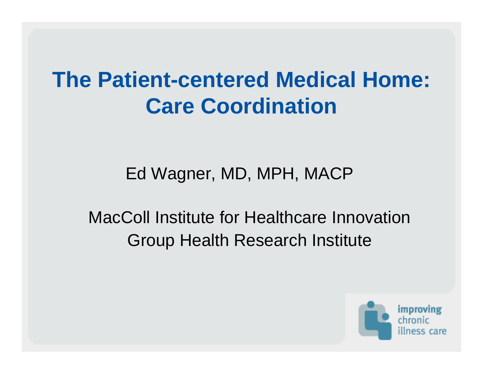#### **The Patient-centered Medical Home: Care Coordination**

Ed Wagner, MD, MPH, MACP

MacColl Institute for Healthcare InnovationGroup Health Research Institute

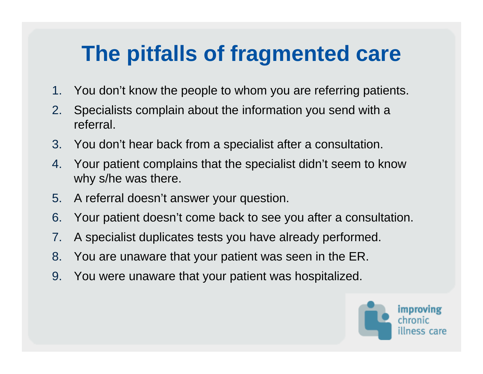### **The pitfalls of fragmented care**

- 1.You don't know the people to whom you are referring patients.
- 2. Specialists complain about the information you send with a referral.
- 3. You don't hear back from a specialist after a consultation.
- 4. Your patient complains that the specialist didn't seem to know why s/he was there.
- 5. A referral doesn't answer your question.
- 6. Your patient doesn't come back to see you after a consultation.
- 7.A specialist duplicates tests you have already performed.
- 8. You are unaware that your patient was seen in the ER.
- 9. You were unaware that your patient was hospitalized.

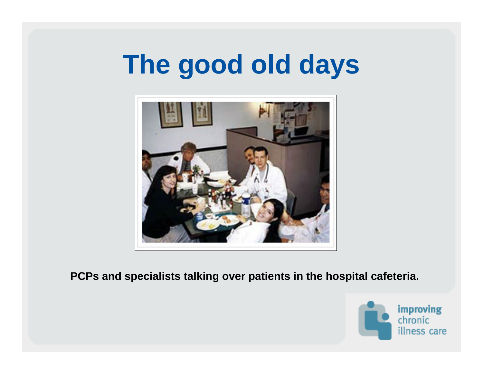# **The good old days**



**PCPs and specialists talking over patients in the hospital cafeteria.**

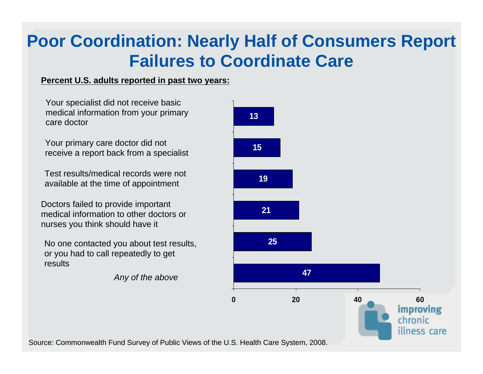#### **Poor Coordination: Nearly Half of Consumers Report Failures to Coordinate Care**

#### **Percent U.S. adults reported in past two years:**

Your specialist did not receive basic medical information from your primary care doctor

Your primary care doctor did not receive a report back from a specialist

Test results/medical records were not available at the time of appointment

Doctors failed to provide important medical information to other doctors or nurses you think should have it

No one contacted you about test results, or you had to call repeatedly to get results

*Any of the above*



Source: Commonwealth Fund Survey of Public Views of the U.S. Health Care System, 2008.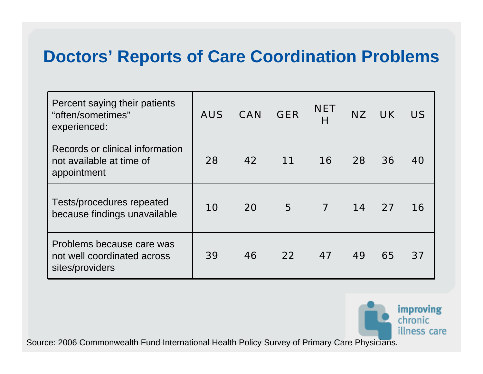#### **Doctors' Reports of Care Coordination Problems**

| Percent saying their patients<br>"often/sometimes"<br>experienced:          | <b>AUS</b> | <b>CAN</b> | <b>GER</b>      | <b>NET</b><br>Н         | <b>NZ</b> | UK . | <b>US</b> |
|-----------------------------------------------------------------------------|------------|------------|-----------------|-------------------------|-----------|------|-----------|
| Records or clinical information<br>not available at time of<br>appointment  | 28         | 42         | 11              | <b>16</b>               | 28        | 36   | 40        |
| Tests/procedures repeated<br>because findings unavailable                   | 10         | 20         | 5               | $\overline{\mathbf{7}}$ | 14        | 27   | 16        |
| Problems because care was<br>not well coordinated across<br>sites/providers | 39         | 46         | 22 <sub>2</sub> | 47                      | 49        | 65   | 37        |



Source: 2006 Commonwealth Fund International Health Policy Survey of Primary Care Physicians.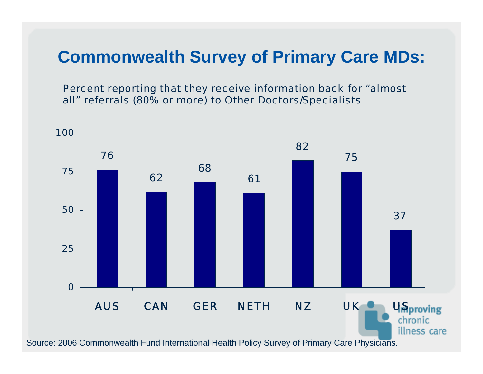#### **Commonwealth Survey of Primary Care MDs:**

Percent reporting that they receive information back for "almost all" referrals (80% or more) to Other Doctors/Specialists



Source: 2006 Commonwealth Fund International Health Policy Survey of Primary Care Physicians.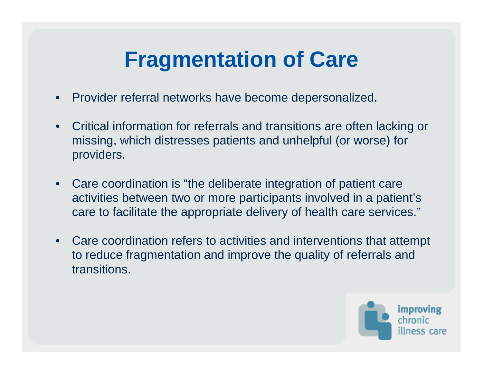#### **Fragmentation of Care**

- •Provider referral networks have become depersonalized.
- • Critical information for referrals and transitions are often lacking or missing, which distresses patients and unhelpful (or worse) for providers.
- $\bullet$  Care coordination is "the deliberate integration of patient care activities between two or more participants involved in a patient's care to facilitate the appropriate delivery of health care services."
- • Care coordination refers to activities and interventions that attempt to reduce fragmentation and improve the quality of referrals and transitions.

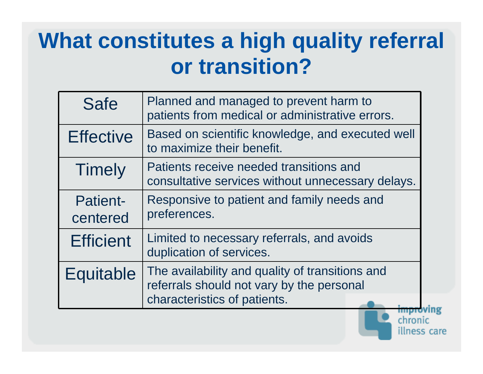#### **What constitutes a high quality referral or transition?**

| <b>Safe</b>                 | Planned and managed to prevent harm to<br>patients from medical or administrative errors.                                    |  |
|-----------------------------|------------------------------------------------------------------------------------------------------------------------------|--|
| <b>Effective</b>            | Based on scientific knowledge, and executed well<br>to maximize their benefit.                                               |  |
| <b>Timely</b>               | Patients receive needed transitions and<br>consultative services without unnecessary delays.                                 |  |
| <b>Patient-</b><br>centered | Responsive to patient and family needs and<br>preferences.                                                                   |  |
| <b>Efficient</b>            | Limited to necessary referrals, and avoids<br>duplication of services.                                                       |  |
| Equitable                   | The availability and quality of transitions and<br>referrals should not vary by the personal<br>characteristics of patients. |  |

chronic

illness care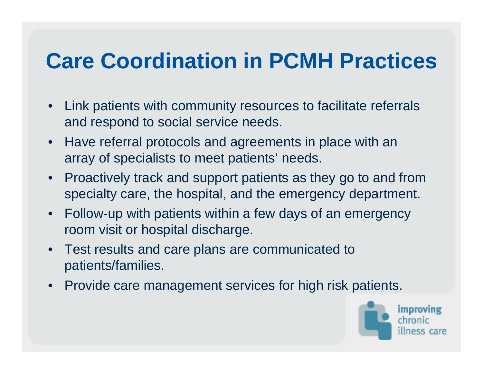#### **Care Coordination in PCMH Practices**

- • Link patients with community resources to facilitate referrals and respond to social service needs.
- • Have referral protocols and agreements in place with an array of specialists to meet patients' needs.
- • Proactively track and support patients as they go to and from specialty care, the hospital, and the emergency department.
- • Follow-up with patients within a few days of an emergency room visit or hospital discharge.
- $\bullet$  Test results and care plans are communicated to patients/families.
- •Provide care management services for high risk patients.

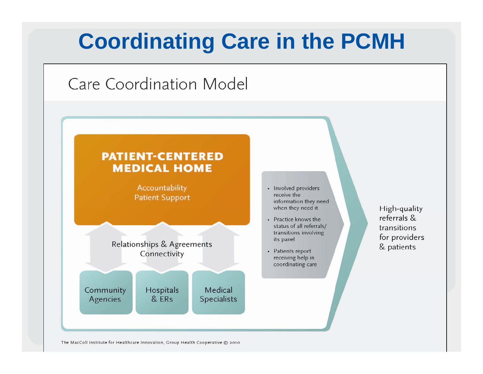

The MacColl Institute for Healthcare Innovation, Group Health Cooperative © 2010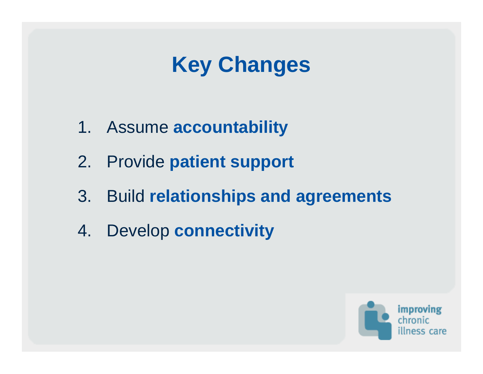### **Key Changes**

- 1. Assume **accountability**
- 2. Provide **patient support**
- 3. Build **relationships and agreements**
- 4. Develop **connectivity**

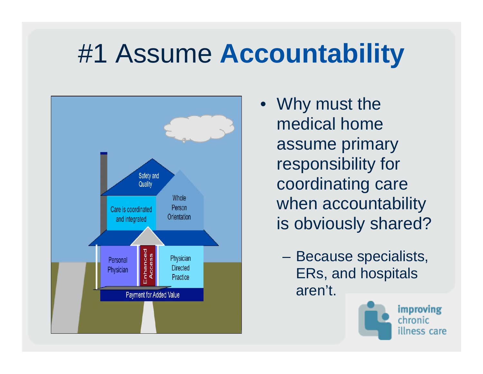## #1 Assume **Accountability**



- Why must the medical home assume primary responsibility for coordinating care when accountability is obviously shared?
	- Because specialists, ERs, and hospitals aren't.



improving chronic illness care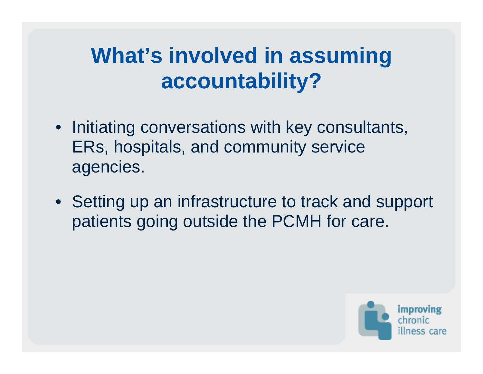#### **What's involved in assuming accountability?**

- Initiating conversations with key consultants, ERs, hospitals, and community service agencies.
- Setting up an infrastructure to track and support patients going outside the PCMH for care.

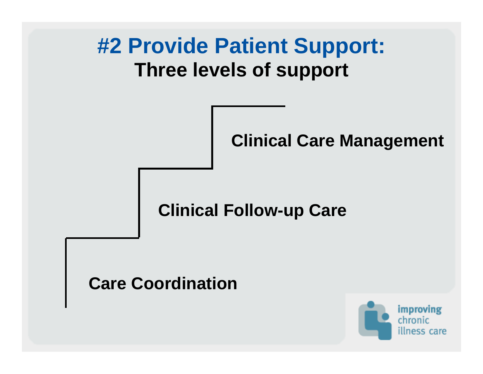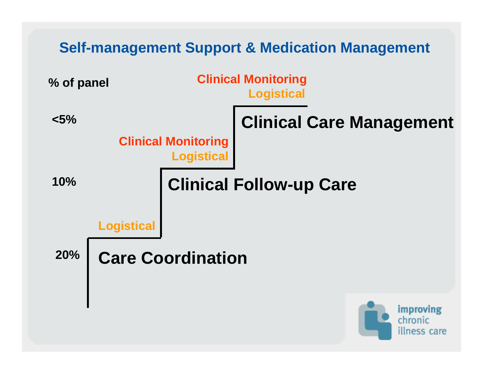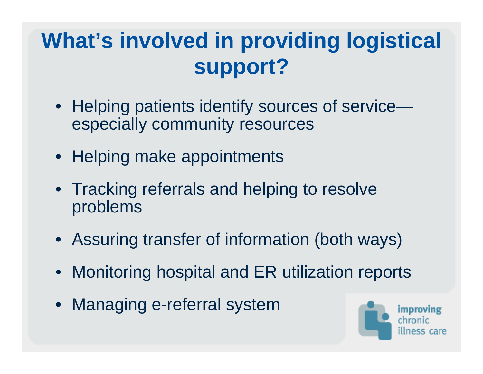#### **What's involved in providing logistical support?**

- Helping patients identify sources of service especially community resources
- Helping make appointments
- Tracking referrals and helping to resolve problems
- Assuring transfer of information (both ways)
- Monitoring hospital and ER utilization reports
- Managing e-referral system

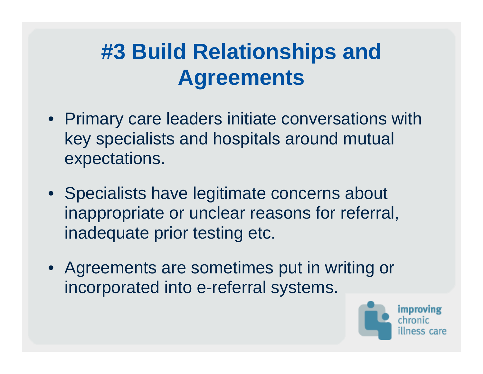### **#3 Build Relationships and Agreements**

- Primary care leaders initiate conversations with key specialists and hospitals around mutual expectations.
- Specialists have legitimate concerns about inappropriate or unclear reasons for referral, inadequate prior testing etc.
- Agreements are sometimes put in writing or incorporated into e-referral systems.

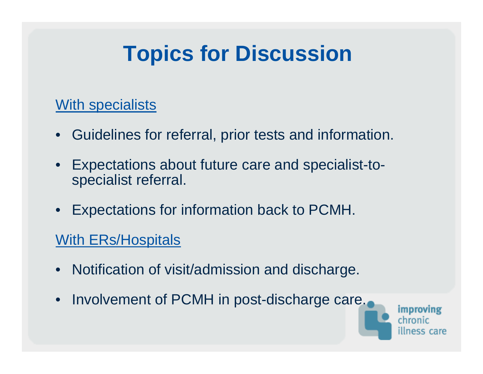#### **Topics for Discussion**

#### With specialists

- Guidelines for referral, prior tests and information.
- • Expectations about future care and specialist-tospecialist referral.
- Expectations for information back to PCMH.

#### With ERs/Hospitals

- Notification of visit/admission and discharge.
- Involvement of PCMH in post-discharge care.

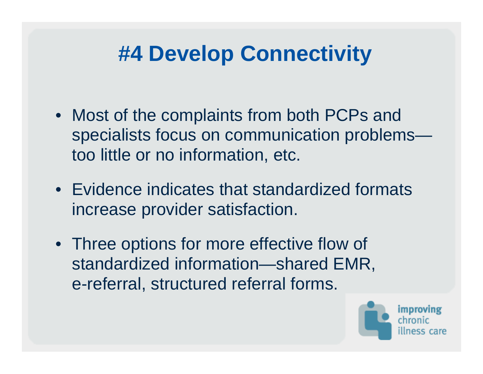#### **#4 Develop Connectivity**

- Most of the complaints from both PCPs and specialists focus on communication problems too little or no information, etc.
- Evidence indicates that standardized formats increase provider satisfaction.
- Three options for more effective flow of standardized information—shared EMR, e-referral, structured referral forms.

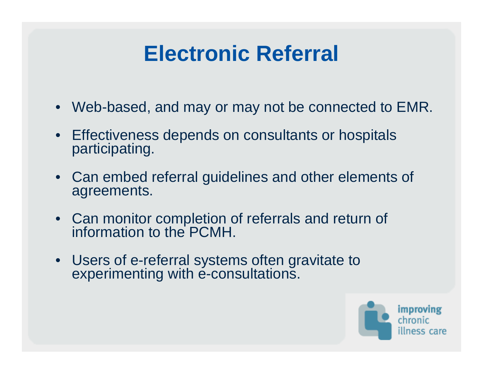#### **Electronic Referral**

- Web-based, and may or may not be connected to EMR.
- Effectiveness depends on consultants or hospitals participating.
- Can embed referral guidelines and other elements of agreements.
- Can monitor completion of referrals and return of information to the PCMH.
- Users of e-referral systems often gravitate to experimenting with e-consultations.

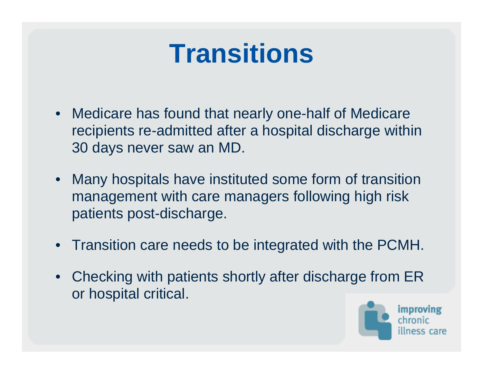# **Transitions**

- Medicare has found that nearly one-half of Medicare recipients re-admitted after a hospital discharge within 30 days never saw an MD.
- Many hospitals have instituted some form of transition management with care managers following high risk patients post-discharge.
- Transition care needs to be integrated with the PCMH.
- Checking with patients shortly after discharge from ER or hospital critical.

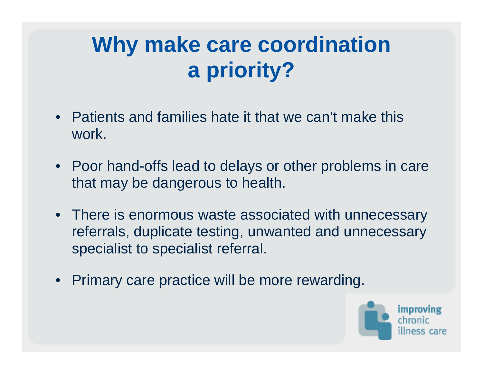### **Why make care coordination a priority?**

- Patients and families hate it that we can't make this work.
- Poor hand-offs lead to delays or other problems in care that may be dangerous to health.
- There is enormous waste associated with unnecessary referrals, duplicate testing, unwanted and unnecessary specialist to specialist referral.
- Primary care practice will be more rewarding.

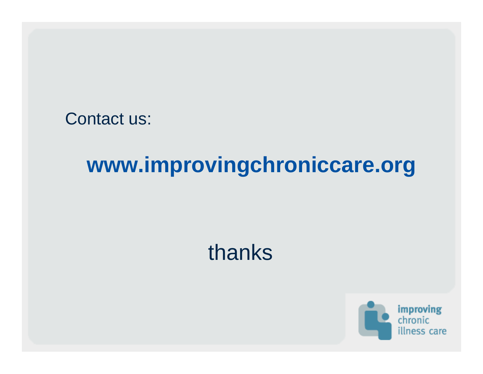Contact us:

#### **www.improvingchroniccare.org**

#### thanks

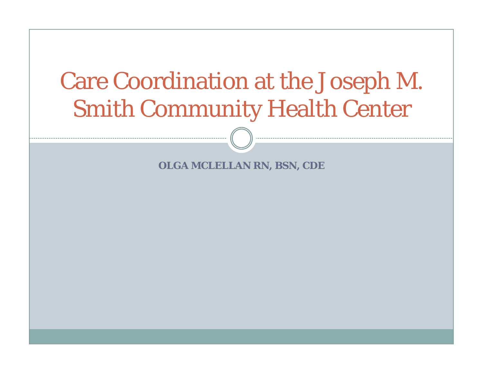### Care Coordination at the Joseph M. Smith Community Health Center

**OLGA MCLELLAN RN, BSN, CDE**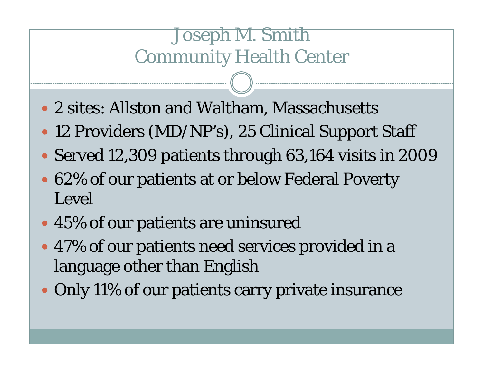#### Joseph M. Smith Community Health Center

- 2 sites: Allston and Waltham, Massachusetts
- 12 Providers (MD/NP's), 25 Clinical Support Staff
- Served 12,309 patients through 63,164 visits in 2009
- 62% of our patients at or below Federal Poverty Level
- 45% of our patients are uninsured
- 47% of our patients need services provided in a language other than English
- Only 11% of our patients carry private insurance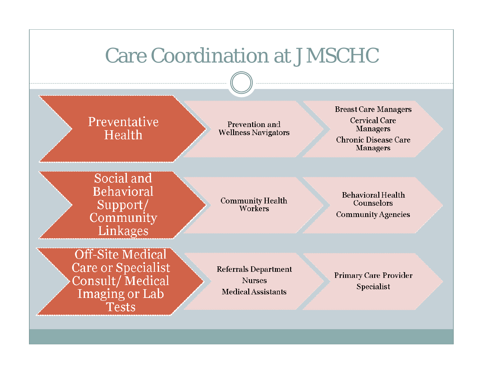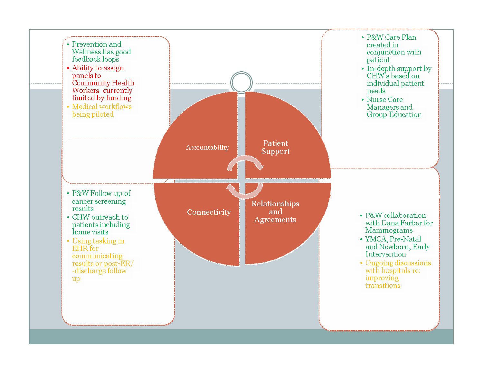